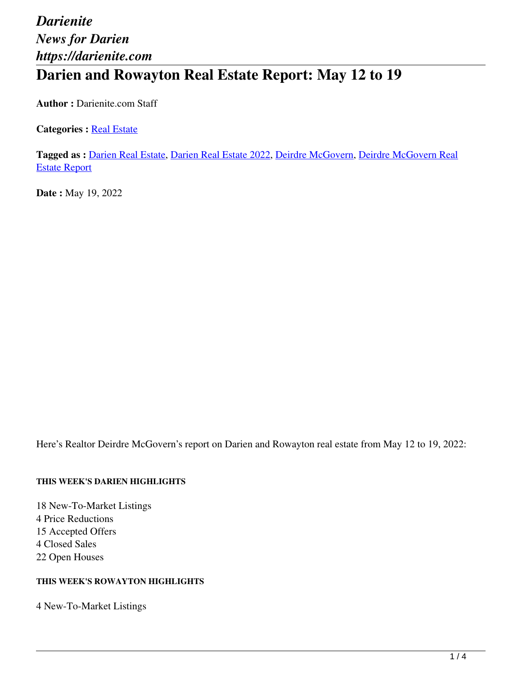# *Darienite News for Darien https://darienite.com* **Darien and Rowayton Real Estate Report: May 12 to 19**

**Author :** Darienite.com Staff

**Categories : [Real Estate](https://darienite.com/category/real-estate)** 

**Tagged as :** Darien Real Estate, Darien Real Estate 2022, Deirdre McGovern, Deirdre McGovern Real Estate Report

**Date :** May 19, 2022

Here's Realtor Deirdre McGovern's report on Darien and Rowayton real estate from May 12 to 19, 2022:

#### **THIS WEEK'S DARIEN HIGHLIGHTS**

18 New-To-Market Listings 4 Price Reductions 15 Accepted Offers 4 Closed Sales 22 Open Houses

#### **THIS WEEK'S ROWAYTON HIGHLIGHTS**

4 New-To-Market Listings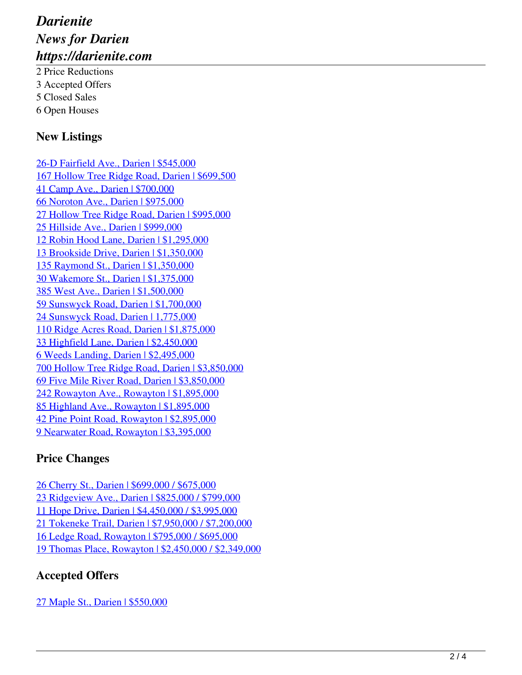# *Darienite News for Darien https://darienite.com*

2 Price Reductions 3 Accepted Offers 5 Closed Sales 6 Open Houses

### **New Listings**

26-D Fairfield Ave., Darien | \$545,000 167 Hollow Tree Ridge Road, Darien | \$699,500 41 Camp Ave., Darien | \$700,000 66 Noroton Ave., Darien | \$975,000 27 Hollow Tree Ridge Road, Darien | \$995,000 25 Hillside Ave., Darien | \$999,000 12 Robin Hood Lane, Darien | \$1,295,000 13 Brookside Drive, Darien | \$1,350,000 135 Raymond St., Darien | \$1,350,000 30 Wakemore St., Darien | \$1,375,000 385 West Ave., Darien | \$1,500,000 59 Sunswyck Road, Darien | \$1,700,000 24 Sunswyck Road, Darien | 1,775,000 110 Ridge Acres Road, Darien | \$1,875,000 33 Highfield Lane, Darien | \$2,450,000 6 Weeds Landing, Darien | \$2,495,000 700 Hollow Tree Ridge Road, Darien | \$3,850,000 69 Five Mile River Road, Darien | \$3,850,000 242 Rowayton Ave., Rowayton | \$1,895,000 85 Highland Ave., Rowayton | \$1,895,000 42 Pine Point Road, Rowayton | \$2,895,000 9 Nearwater Road, Rowayton | \$3,395,000

## **Price Changes**

26 Cherry St., Darien | \$699,000 / \$675,000 23 Ridgeview Ave., Darien | \$825,000 / \$799,000 11 Hope Drive, Darien | \$4,450,000 / \$3,995,000 21 Tokeneke Trail, Darien | \$7,950,000 / \$7,200,000 16 Ledge Road, Rowayton | \$795,000 / \$695,000 19 Thomas Place, Rowayton | \$2,450,000 / \$2,349,000

## **Accepted Offers**

27 Maple St., Darien | \$550,000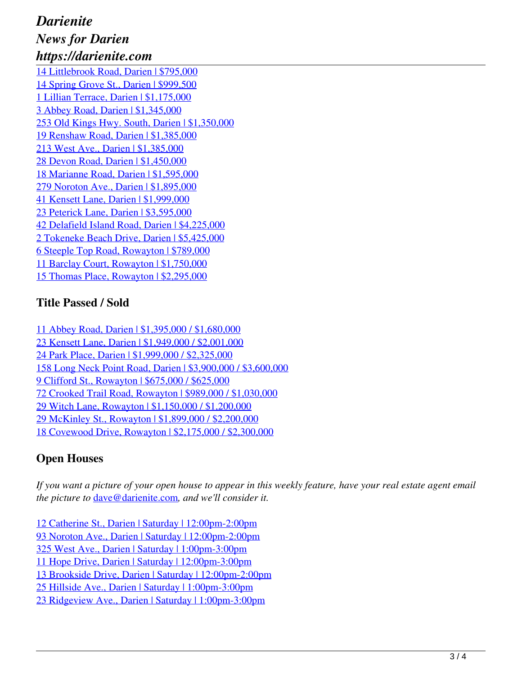## *Darienite News for Darien https://darienite.com*

14 Littlebrook Road, Darien | \$795,000 14 Spring Grove St., Darien | \$999,500 1 Lillian Terrace, Darien | \$1,175,000 3 Abbey Road, Darien | \$1,345,000 253 Old Kings Hwy. South, Darien | \$1,350,000 19 Renshaw Road, Darien | \$1,385,000 213 West Ave., Darien | \$1,385,000 28 Devon Road, Darien | \$1,450,000 18 Marianne Road, Darien | \$1,595,000 279 Noroton Ave., Darien | \$1,895,000 41 Kensett Lane, Darien | \$1,999,000 23 Peterick Lane, Darien | \$3,595,000 42 Delafield Island Road, Darien | \$4,225,000 2 Tokeneke Beach Drive, Darien | \$5,425,000 6 Steeple Top Road, Rowayton | \$789,000 11 Barclay Court, Rowayton | \$1,750,000 15 Thomas Place, Rowayton | \$2,295,000

### **Title Passed / Sold**

11 Abbey Road, Darien | \$1,395,000 / \$1,680,000 23 Kensett Lane, Darien | \$1,949,000 / \$2,001,000 24 Park Place, Darien | \$1,999,000 / \$2,325,000 158 Long Neck Point Road, Darien | \$3,900,000 / \$3,600,000 9 Clifford St., Rowayton | \$675,000 / \$625,000 72 Crooked Trail Road, Rowayton | \$989,000 / \$1,030,000 29 Witch Lane, Rowayton | \$1,150,000 / \$1,200,000 29 McKinley St., Rowayton | \$1,899,000 / \$2,200,000 18 Covewood Drive, Rowayton | \$2,175,000 / \$2,300,000

## **Open Houses**

*If you want a picture of your open house to appear in this weekly feature, have your real estate agent email the picture to* dave@darienite.com*, and we'll consider it.*

12 Catherine St., Darien | Saturday | 12:00pm-2:00pm 93 Noroton Ave., Darien | Saturday | 12:00pm-2:00pm 325 West Ave., Darien | Saturday | 1:00pm-3:00pm 11 Hope Drive, Darien | Saturday | 12:00pm-3:00pm 13 Brookside Drive, Darien | Saturday | 12:00pm-2:00pm

25 Hillside Ave., Darien | Saturday | 1:00pm-3:00pm

23 Ridgeview Ave., Darien | Saturday | 1:00pm-3:00pm